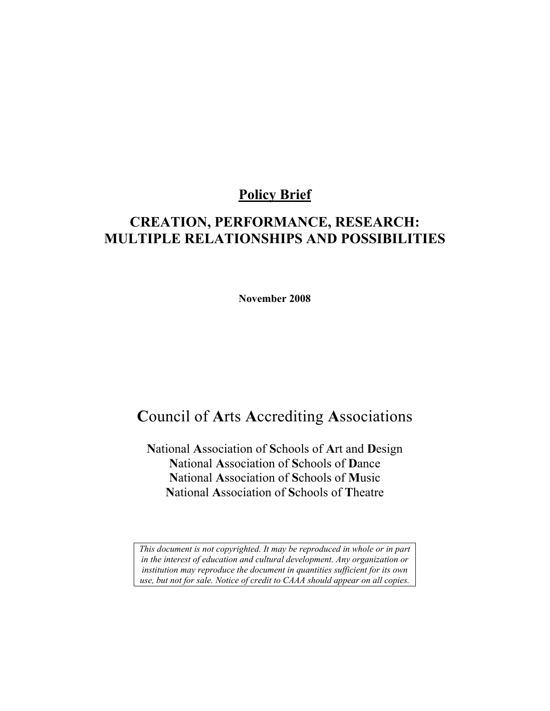## **Policy Brief**

## **CREATION, PERFORMANCE, RESEARCH: MULTIPLE RELATIONSHIPS AND POSSIBILITIES**

**November 2008** 

## **C**ouncil of **A**rts **A**ccrediting **A**ssociations

**N**ational **A**ssociation of **S**chools of **A**rt and **D**esign **N**ational **A**ssociation of **S**chools of **D**ance **N**ational **A**ssociation of **S**chools of **M**usic **N**ational **A**ssociation of **S**chools of **T**heatre

*This document is not copyrighted. It may be reproduced in whole or in part in the interest of education and cultural development. Any organization or institution may reproduce the document in quantities sufficient for its own use, but not for sale. Notice of credit to CAAA should appear on all copies.*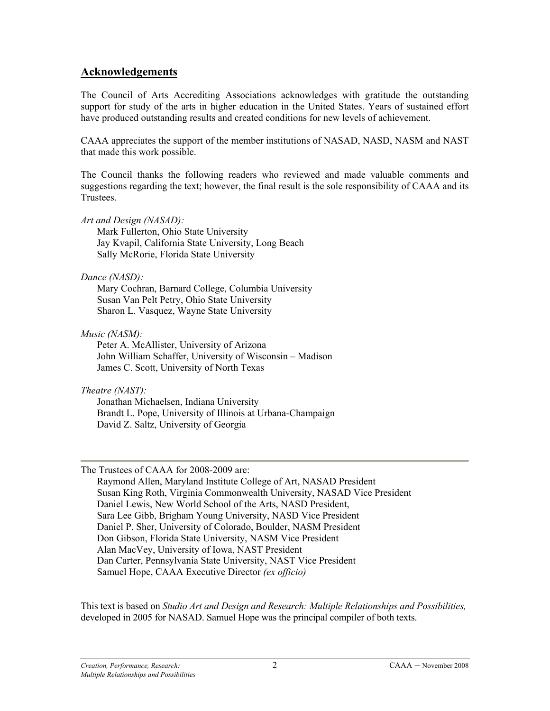#### **Acknowledgements**

The Council of Arts Accrediting Associations acknowledges with gratitude the outstanding support for study of the arts in higher education in the United States. Years of sustained effort have produced outstanding results and created conditions for new levels of achievement.

CAAA appreciates the support of the member institutions of NASAD, NASD, NASM and NAST that made this work possible.

The Council thanks the following readers who reviewed and made valuable comments and suggestions regarding the text; however, the final result is the sole responsibility of CAAA and its Trustees.

*Art and Design (NASAD):* 

Mark Fullerton, Ohio State University Jay Kvapil, California State University, Long Beach Sally McRorie, Florida State University

*Dance (NASD):* 

Mary Cochran, Barnard College, Columbia University Susan Van Pelt Petry, Ohio State University Sharon L. Vasquez, Wayne State University

*Music (NASM):* 

Peter A. McAllister, University of Arizona John William Schaffer, University of Wisconsin – Madison James C. Scott, University of North Texas

*Theatre (NAST):* 

Jonathan Michaelsen, Indiana University Brandt L. Pope, University of Illinois at Urbana-Champaign David Z. Saltz, University of Georgia

The Trustees of CAAA for 2008-2009 are:

Raymond Allen, Maryland Institute College of Art, NASAD President Susan King Roth, Virginia Commonwealth University, NASAD Vice President Daniel Lewis, New World School of the Arts, NASD President, Sara Lee Gibb, Brigham Young University, NASD Vice President Daniel P. Sher, University of Colorado, Boulder, NASM President Don Gibson, Florida State University, NASM Vice President Alan MacVey, University of Iowa, NAST President Dan Carter, Pennsylvania State University, NAST Vice President Samuel Hope, CAAA Executive Director *(ex officio)* 

This text is based on *Studio Art and Design and Research: Multiple Relationships and Possibilities,* developed in 2005 for NASAD. Samuel Hope was the principal compiler of both texts.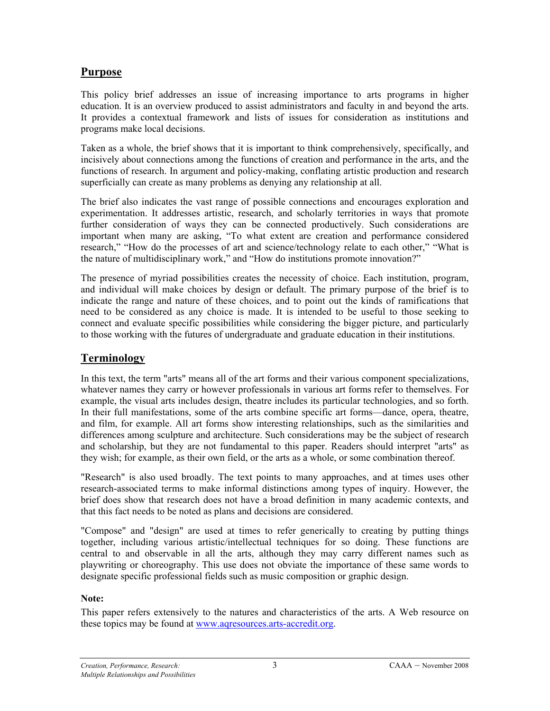## **Purpose**

This policy brief addresses an issue of increasing importance to arts programs in higher education. It is an overview produced to assist administrators and faculty in and beyond the arts. It provides a contextual framework and lists of issues for consideration as institutions and programs make local decisions.

Taken as a whole, the brief shows that it is important to think comprehensively, specifically, and incisively about connections among the functions of creation and performance in the arts, and the functions of research. In argument and policy-making, conflating artistic production and research superficially can create as many problems as denying any relationship at all.

The brief also indicates the vast range of possible connections and encourages exploration and experimentation. It addresses artistic, research, and scholarly territories in ways that promote further consideration of ways they can be connected productively. Such considerations are important when many are asking, "To what extent are creation and performance considered research," "How do the processes of art and science/technology relate to each other," "What is the nature of multidisciplinary work," and "How do institutions promote innovation?"

The presence of myriad possibilities creates the necessity of choice. Each institution, program, and individual will make choices by design or default. The primary purpose of the brief is to indicate the range and nature of these choices, and to point out the kinds of ramifications that need to be considered as any choice is made. It is intended to be useful to those seeking to connect and evaluate specific possibilities while considering the bigger picture, and particularly to those working with the futures of undergraduate and graduate education in their institutions.

#### **Terminology**

In this text, the term "arts" means all of the art forms and their various component specializations, whatever names they carry or however professionals in various art forms refer to themselves. For example, the visual arts includes design, theatre includes its particular technologies, and so forth. In their full manifestations, some of the arts combine specific art forms—dance, opera, theatre, and film, for example. All art forms show interesting relationships, such as the similarities and differences among sculpture and architecture. Such considerations may be the subject of research and scholarship, but they are not fundamental to this paper. Readers should interpret "arts" as they wish; for example, as their own field, or the arts as a whole, or some combination thereof.

"Research" is also used broadly. The text points to many approaches, and at times uses other research-associated terms to make informal distinctions among types of inquiry. However, the brief does show that research does not have a broad definition in many academic contexts, and that this fact needs to be noted as plans and decisions are considered.

"Compose" and "design" are used at times to refer generically to creating by putting things together, including various artistic/intellectual techniques for so doing. These functions are central to and observable in all the arts, although they may carry different names such as playwriting or choreography. This use does not obviate the importance of these same words to designate specific professional fields such as music composition or graphic design.

#### **Note:**

This paper refers extensively to the natures and characteristics of the arts. A Web resource on these topics may be found at [www.aqresources.arts-accredit.org.](http://www.aqresources.arts-accredit.org/)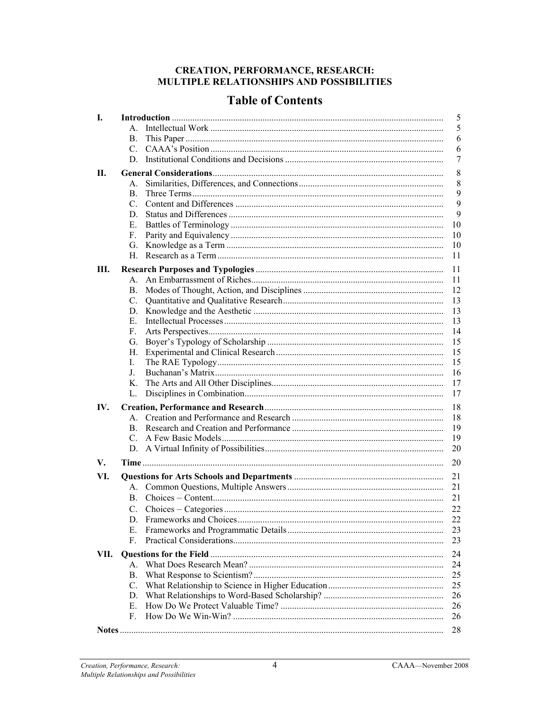# **CREATION, PERFORMANCE, RESEARCH:<br>MULTIPLE RELATIONSHIPS AND POSSIBILITIES**

## **Table of Contents**

| I.     |                 |  |          |
|--------|-----------------|--|----------|
|        | $A_{\cdot}$     |  | 5        |
|        | B.              |  | 6        |
|        | C.              |  | 6        |
|        | D.              |  | 7        |
| П.     |                 |  | 8        |
|        | $A_{-}$         |  | 8        |
|        | B.              |  | 9        |
|        | C.              |  | 9        |
|        | D.              |  | 9        |
|        | Е.              |  | 10       |
|        | F.              |  | 10       |
|        | G.              |  | 10       |
|        | Н.              |  | 11       |
|        |                 |  |          |
| Ш.     | $A_{-}$         |  | 11<br>11 |
|        |                 |  | 12       |
|        | В.<br>C.        |  | 13       |
|        |                 |  | 13       |
|        | D.<br>Е.        |  |          |
|        | F.              |  | 13<br>14 |
|        |                 |  |          |
|        | G.              |  | 15<br>15 |
|        | Н.<br>L         |  | 15       |
|        | J.              |  | 16       |
|        | Κ.              |  | 17       |
|        | L.              |  | 17       |
|        |                 |  |          |
| IV.    |                 |  | 18       |
|        | A               |  | 18       |
|        | B.              |  | 19       |
|        | C.              |  | 19       |
|        | D.              |  | 20       |
| V.     |                 |  | 20       |
| VI.    |                 |  | 21       |
|        | А.              |  | 21       |
|        | B.              |  | 21       |
|        | C.              |  | 22       |
|        | D.              |  | 22       |
|        | E.              |  | 23       |
|        | F.              |  | 23       |
| VII.   |                 |  | 24       |
|        | $A_{-}$         |  | 24       |
|        | B.              |  | 25       |
|        | $\mathcal{C}$ . |  | 25       |
|        | D.              |  | 26       |
|        | Е.              |  | 26       |
|        | F.              |  | 26       |
|        |                 |  |          |
| Notes. |                 |  | 28       |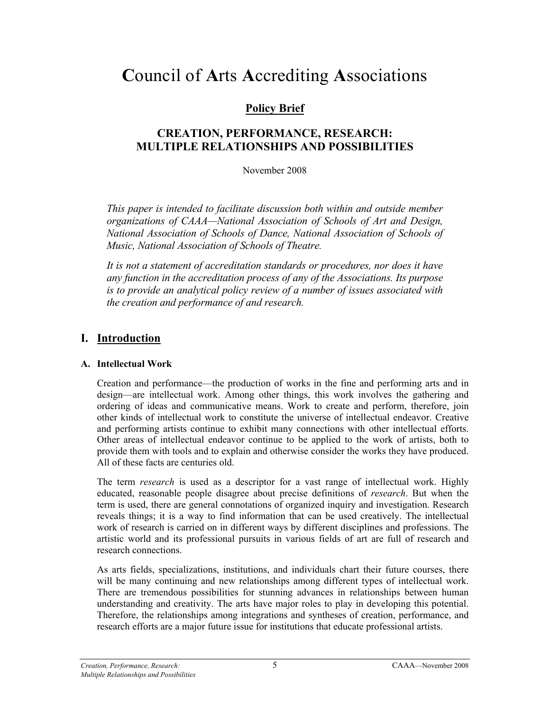## **C**ouncil of **A**rts **A**ccrediting **A**ssociations

## **Policy Brief**

## **CREATION, PERFORMANCE, RESEARCH: MULTIPLE RELATIONSHIPS AND POSSIBILITIES**

November 2008

*This paper is intended to facilitate discussion both within and outside member organizations of CAAA—National Association of Schools of Art and Design, National Association of Schools of Dance, National Association of Schools of Music, National Association of Schools of Theatre.* 

It is not a statement of accreditation standards or procedures, nor does it have *any function in the accreditation process of any of the Associations. Its purpose is to provide an analytical policy review of a number of issues associated with the creation and performance of and research.* 

## **I. Introduction**

#### **A. Intellectual Work**

Creation and performance—the production of works in the fine and performing arts and in design—are intellectual work. Among other things, this work involves the gathering and ordering of ideas and communicative means. Work to create and perform, therefore, join other kinds of intellectual work to constitute the universe of intellectual endeavor. Creative and performing artists continue to exhibit many connections with other intellectual efforts. Other areas of intellectual endeavor continue to be applied to the work of artists, both to provide them with tools and to explain and otherwise consider the works they have produced. All of these facts are centuries old.

The term *research* is used as a descriptor for a vast range of intellectual work. Highly educated, reasonable people disagree about precise definitions of *research*. But when the term is used, there are general connotations of organized inquiry and investigation. Research reveals things; it is a way to find information that can be used creatively. The intellectual work of research is carried on in different ways by different disciplines and professions. The artistic world and its professional pursuits in various fields of art are full of research and research connections.

As arts fields, specializations, institutions, and individuals chart their future courses, there will be many continuing and new relationships among different types of intellectual work. There are tremendous possibilities for stunning advances in relationships between human understanding and creativity. The arts have major roles to play in developing this potential. Therefore, the relationships among integrations and syntheses of creation, performance, and research efforts are a major future issue for institutions that educate professional artists.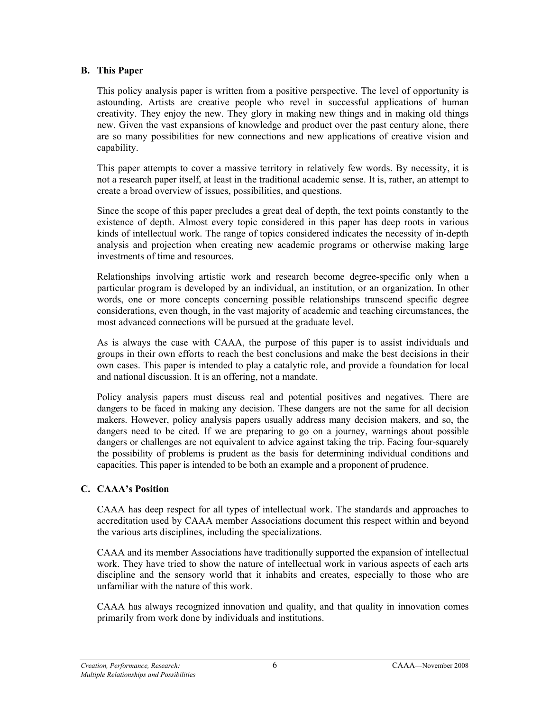#### **B. This Paper**

This policy analysis paper is written from a positive perspective. The level of opportunity is astounding. Artists are creative people who revel in successful applications of human creativity. They enjoy the new. They glory in making new things and in making old things new. Given the vast expansions of knowledge and product over the past century alone, there are so many possibilities for new connections and new applications of creative vision and capability.

This paper attempts to cover a massive territory in relatively few words. By necessity, it is not a research paper itself, at least in the traditional academic sense. It is, rather, an attempt to create a broad overview of issues, possibilities, and questions.

Since the scope of this paper precludes a great deal of depth, the text points constantly to the existence of depth. Almost every topic considered in this paper has deep roots in various kinds of intellectual work. The range of topics considered indicates the necessity of in-depth analysis and projection when creating new academic programs or otherwise making large investments of time and resources.

Relationships involving artistic work and research become degree-specific only when a particular program is developed by an individual, an institution, or an organization. In other words, one or more concepts concerning possible relationships transcend specific degree considerations, even though, in the vast majority of academic and teaching circumstances, the most advanced connections will be pursued at the graduate level.

As is always the case with CAAA, the purpose of this paper is to assist individuals and groups in their own efforts to reach the best conclusions and make the best decisions in their own cases. This paper is intended to play a catalytic role, and provide a foundation for local and national discussion. It is an offering, not a mandate.

Policy analysis papers must discuss real and potential positives and negatives. There are dangers to be faced in making any decision. These dangers are not the same for all decision makers. However, policy analysis papers usually address many decision makers, and so, the dangers need to be cited. If we are preparing to go on a journey, warnings about possible dangers or challenges are not equivalent to advice against taking the trip. Facing four-squarely the possibility of problems is prudent as the basis for determining individual conditions and capacities. This paper is intended to be both an example and a proponent of prudence.

#### **C. CAAA's Position**

CAAA has deep respect for all types of intellectual work. The standards and approaches to accreditation used by CAAA member Associations document this respect within and beyond the various arts disciplines, including the specializations.

CAAA and its member Associations have traditionally supported the expansion of intellectual work. They have tried to show the nature of intellectual work in various aspects of each arts discipline and the sensory world that it inhabits and creates, especially to those who are unfamiliar with the nature of this work.

CAAA has always recognized innovation and quality, and that quality in innovation comes primarily from work done by individuals and institutions.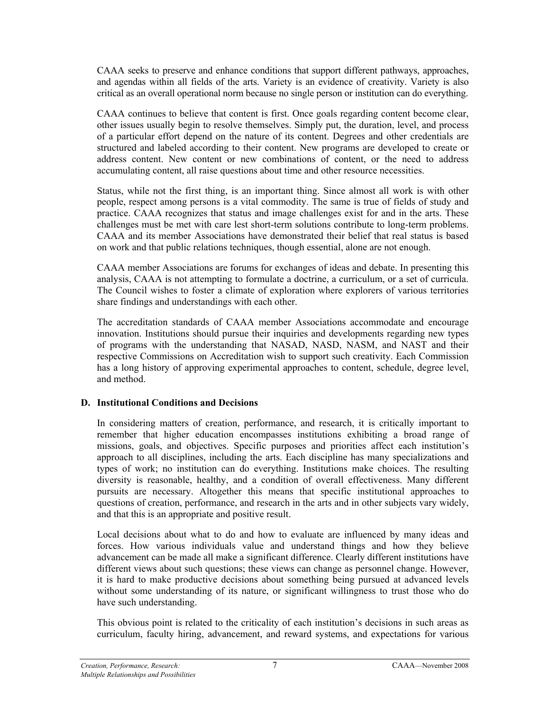CAAA seeks to preserve and enhance conditions that support different pathways, approaches, and agendas within all fields of the arts. Variety is an evidence of creativity. Variety is also critical as an overall operational norm because no single person or institution can do everything.

CAAA continues to believe that content is first. Once goals regarding content become clear, other issues usually begin to resolve themselves. Simply put, the duration, level, and process of a particular effort depend on the nature of its content. Degrees and other credentials are structured and labeled according to their content. New programs are developed to create or address content. New content or new combinations of content, or the need to address accumulating content, all raise questions about time and other resource necessities.

Status, while not the first thing, is an important thing. Since almost all work is with other people, respect among persons is a vital commodity. The same is true of fields of study and practice. CAAA recognizes that status and image challenges exist for and in the arts. These challenges must be met with care lest short-term solutions contribute to long-term problems. CAAA and its member Associations have demonstrated their belief that real status is based on work and that public relations techniques, though essential, alone are not enough.

CAAA member Associations are forums for exchanges of ideas and debate. In presenting this analysis, CAAA is not attempting to formulate a doctrine, a curriculum, or a set of curricula. The Council wishes to foster a climate of exploration where explorers of various territories share findings and understandings with each other.

The accreditation standards of CAAA member Associations accommodate and encourage innovation. Institutions should pursue their inquiries and developments regarding new types of programs with the understanding that NASAD, NASD, NASM, and NAST and their respective Commissions on Accreditation wish to support such creativity. Each Commission has a long history of approving experimental approaches to content, schedule, degree level, and method.

#### **D. Institutional Conditions and Decisions**

In considering matters of creation, performance, and research, it is critically important to remember that higher education encompasses institutions exhibiting a broad range of missions, goals, and objectives. Specific purposes and priorities affect each institution's approach to all disciplines, including the arts. Each discipline has many specializations and types of work; no institution can do everything. Institutions make choices. The resulting diversity is reasonable, healthy, and a condition of overall effectiveness. Many different pursuits are necessary. Altogether this means that specific institutional approaches to questions of creation, performance, and research in the arts and in other subjects vary widely, and that this is an appropriate and positive result.

Local decisions about what to do and how to evaluate are influenced by many ideas and forces. How various individuals value and understand things and how they believe advancement can be made all make a significant difference. Clearly different institutions have different views about such questions; these views can change as personnel change. However, it is hard to make productive decisions about something being pursued at advanced levels without some understanding of its nature, or significant willingness to trust those who do have such understanding.

This obvious point is related to the criticality of each institution's decisions in such areas as curriculum, faculty hiring, advancement, and reward systems, and expectations for various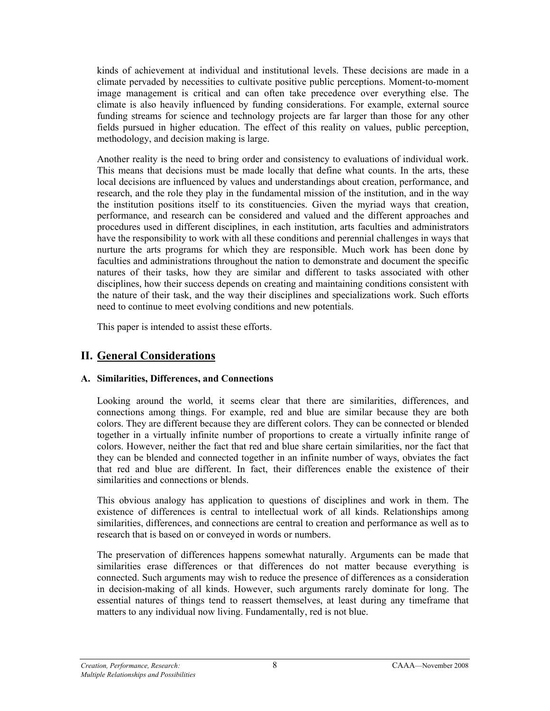kinds of achievement at individual and institutional levels. These decisions are made in a climate pervaded by necessities to cultivate positive public perceptions. Moment-to-moment image management is critical and can often take precedence over everything else. The climate is also heavily influenced by funding considerations. For example, external source funding streams for science and technology projects are far larger than those for any other fields pursued in higher education. The effect of this reality on values, public perception, methodology, and decision making is large.

Another reality is the need to bring order and consistency to evaluations of individual work. This means that decisions must be made locally that define what counts. In the arts, these local decisions are influenced by values and understandings about creation, performance, and research, and the role they play in the fundamental mission of the institution, and in the way the institution positions itself to its constituencies. Given the myriad ways that creation, performance, and research can be considered and valued and the different approaches and procedures used in different disciplines, in each institution, arts faculties and administrators have the responsibility to work with all these conditions and perennial challenges in ways that nurture the arts programs for which they are responsible. Much work has been done by faculties and administrations throughout the nation to demonstrate and document the specific natures of their tasks, how they are similar and different to tasks associated with other disciplines, how their success depends on creating and maintaining conditions consistent with the nature of their task, and the way their disciplines and specializations work. Such efforts need to continue to meet evolving conditions and new potentials.

This paper is intended to assist these efforts.

## **II. General Considerations**

#### **A. Similarities, Differences, and Connections**

Looking around the world, it seems clear that there are similarities, differences, and connections among things. For example, red and blue are similar because they are both colors. They are different because they are different colors. They can be connected or blended together in a virtually infinite number of proportions to create a virtually infinite range of colors. However, neither the fact that red and blue share certain similarities, nor the fact that they can be blended and connected together in an infinite number of ways, obviates the fact that red and blue are different. In fact, their differences enable the existence of their similarities and connections or blends.

This obvious analogy has application to questions of disciplines and work in them. The existence of differences is central to intellectual work of all kinds. Relationships among similarities, differences, and connections are central to creation and performance as well as to research that is based on or conveyed in words or numbers.

The preservation of differences happens somewhat naturally. Arguments can be made that similarities erase differences or that differences do not matter because everything is connected. Such arguments may wish to reduce the presence of differences as a consideration in decision-making of all kinds. However, such arguments rarely dominate for long. The essential natures of things tend to reassert themselves, at least during any timeframe that matters to any individual now living. Fundamentally, red is not blue.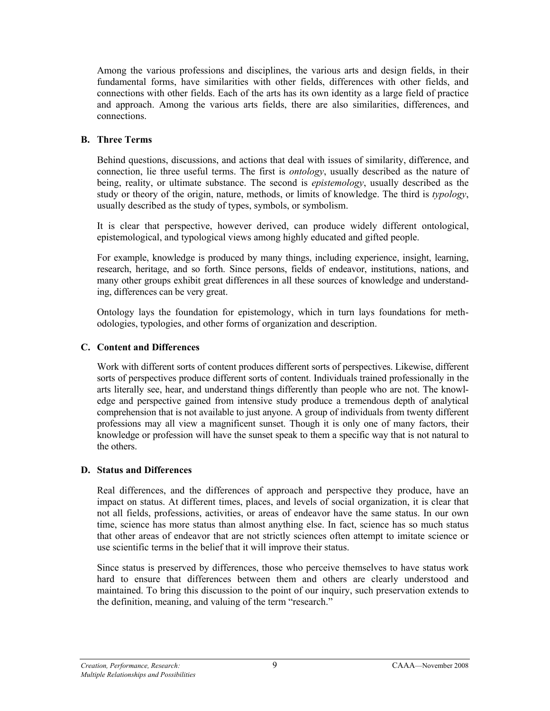Among the various professions and disciplines, the various arts and design fields, in their fundamental forms, have similarities with other fields, differences with other fields, and connections with other fields. Each of the arts has its own identity as a large field of practice and approach. Among the various arts fields, there are also similarities, differences, and connections.

#### **B. Three Terms**

Behind questions, discussions, and actions that deal with issues of similarity, difference, and connection, lie three useful terms. The first is *ontology*, usually described as the nature of being, reality, or ultimate substance. The second is *epistemology*, usually described as the study or theory of the origin, nature, methods, or limits of knowledge. The third is *typology*, usually described as the study of types, symbols, or symbolism.

It is clear that perspective, however derived, can produce widely different ontological, epistemological, and typological views among highly educated and gifted people.

For example, knowledge is produced by many things, including experience, insight, learning, research, heritage, and so forth. Since persons, fields of endeavor, institutions, nations, and many other groups exhibit great differences in all these sources of knowledge and understanding, differences can be very great.

Ontology lays the foundation for epistemology, which in turn lays foundations for methodologies, typologies, and other forms of organization and description.

#### **C. Content and Differences**

Work with different sorts of content produces different sorts of perspectives. Likewise, different sorts of perspectives produce different sorts of content. Individuals trained professionally in the arts literally see, hear, and understand things differently than people who are not. The knowledge and perspective gained from intensive study produce a tremendous depth of analytical comprehension that is not available to just anyone. A group of individuals from twenty different professions may all view a magnificent sunset. Though it is only one of many factors, their knowledge or profession will have the sunset speak to them a specific way that is not natural to the others.

#### **D. Status and Differences**

Real differences, and the differences of approach and perspective they produce, have an impact on status. At different times, places, and levels of social organization, it is clear that not all fields, professions, activities, or areas of endeavor have the same status. In our own time, science has more status than almost anything else. In fact, science has so much status that other areas of endeavor that are not strictly sciences often attempt to imitate science or use scientific terms in the belief that it will improve their status.

Since status is preserved by differences, those who perceive themselves to have status work hard to ensure that differences between them and others are clearly understood and maintained. To bring this discussion to the point of our inquiry, such preservation extends to the definition, meaning, and valuing of the term "research."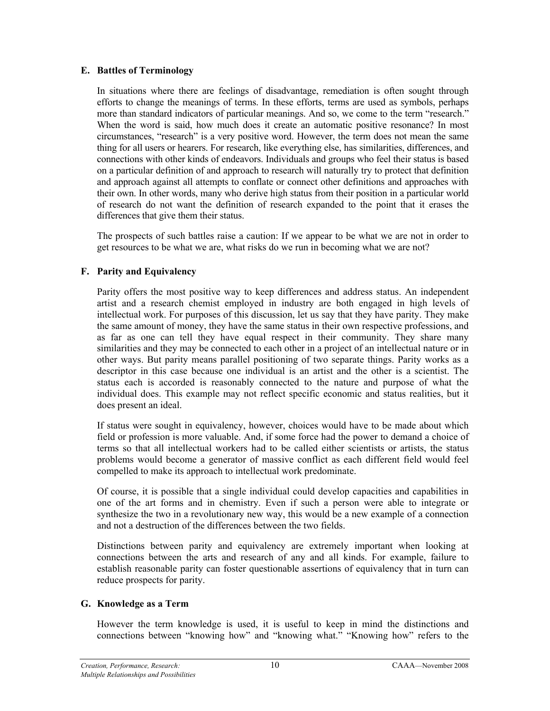#### **E. Battles of Terminology**

In situations where there are feelings of disadvantage, remediation is often sought through efforts to change the meanings of terms. In these efforts, terms are used as symbols, perhaps more than standard indicators of particular meanings. And so, we come to the term "research." When the word is said, how much does it create an automatic positive resonance? In most circumstances, "research" is a very positive word. However, the term does not mean the same thing for all users or hearers. For research, like everything else, has similarities, differences, and connections with other kinds of endeavors. Individuals and groups who feel their status is based on a particular definition of and approach to research will naturally try to protect that definition and approach against all attempts to conflate or connect other definitions and approaches with their own. In other words, many who derive high status from their position in a particular world of research do not want the definition of research expanded to the point that it erases the differences that give them their status.

The prospects of such battles raise a caution: If we appear to be what we are not in order to get resources to be what we are, what risks do we run in becoming what we are not?

#### **F. Parity and Equivalency**

Parity offers the most positive way to keep differences and address status. An independent artist and a research chemist employed in industry are both engaged in high levels of intellectual work. For purposes of this discussion, let us say that they have parity. They make the same amount of money, they have the same status in their own respective professions, and as far as one can tell they have equal respect in their community. They share many similarities and they may be connected to each other in a project of an intellectual nature or in other ways. But parity means parallel positioning of two separate things. Parity works as a descriptor in this case because one individual is an artist and the other is a scientist. The status each is accorded is reasonably connected to the nature and purpose of what the individual does. This example may not reflect specific economic and status realities, but it does present an ideal.

If status were sought in equivalency, however, choices would have to be made about which field or profession is more valuable. And, if some force had the power to demand a choice of terms so that all intellectual workers had to be called either scientists or artists, the status problems would become a generator of massive conflict as each different field would feel compelled to make its approach to intellectual work predominate.

Of course, it is possible that a single individual could develop capacities and capabilities in one of the art forms and in chemistry. Even if such a person were able to integrate or synthesize the two in a revolutionary new way, this would be a new example of a connection and not a destruction of the differences between the two fields.

Distinctions between parity and equivalency are extremely important when looking at connections between the arts and research of any and all kinds. For example, failure to establish reasonable parity can foster questionable assertions of equivalency that in turn can reduce prospects for parity.

#### **G. Knowledge as a Term**

However the term knowledge is used, it is useful to keep in mind the distinctions and connections between "knowing how" and "knowing what." "Knowing how" refers to the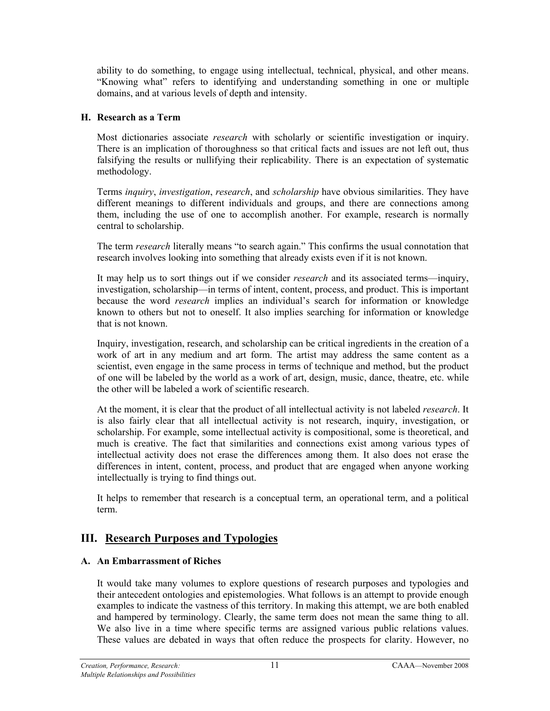ability to do something, to engage using intellectual, technical, physical, and other means. "Knowing what" refers to identifying and understanding something in one or multiple domains, and at various levels of depth and intensity.

#### **H. Research as a Term**

Most dictionaries associate *research* with scholarly or scientific investigation or inquiry. There is an implication of thoroughness so that critical facts and issues are not left out, thus falsifying the results or nullifying their replicability. There is an expectation of systematic methodology.

Terms *inquiry*, *investigation*, *research*, and *scholarship* have obvious similarities. They have different meanings to different individuals and groups, and there are connections among them, including the use of one to accomplish another. For example, research is normally central to scholarship.

The term *research* literally means "to search again." This confirms the usual connotation that research involves looking into something that already exists even if it is not known.

It may help us to sort things out if we consider *research* and its associated terms—inquiry, investigation, scholarship—in terms of intent, content, process, and product. This is important because the word *research* implies an individual's search for information or knowledge known to others but not to oneself. It also implies searching for information or knowledge that is not known.

Inquiry, investigation, research, and scholarship can be critical ingredients in the creation of a work of art in any medium and art form. The artist may address the same content as a scientist, even engage in the same process in terms of technique and method, but the product of one will be labeled by the world as a work of art, design, music, dance, theatre, etc. while the other will be labeled a work of scientific research.

At the moment, it is clear that the product of all intellectual activity is not labeled *research*. It is also fairly clear that all intellectual activity is not research, inquiry, investigation, or scholarship. For example, some intellectual activity is compositional, some is theoretical, and much is creative. The fact that similarities and connections exist among various types of intellectual activity does not erase the differences among them. It also does not erase the differences in intent, content, process, and product that are engaged when anyone working intellectually is trying to find things out.

It helps to remember that research is a conceptual term, an operational term, and a political term.

#### **III. Research Purposes and Typologies**

#### **A. An Embarrassment of Riches**

It would take many volumes to explore questions of research purposes and typologies and their antecedent ontologies and epistemologies. What follows is an attempt to provide enough examples to indicate the vastness of this territory. In making this attempt, we are both enabled and hampered by terminology. Clearly, the same term does not mean the same thing to all. We also live in a time where specific terms are assigned various public relations values. These values are debated in ways that often reduce the prospects for clarity. However, no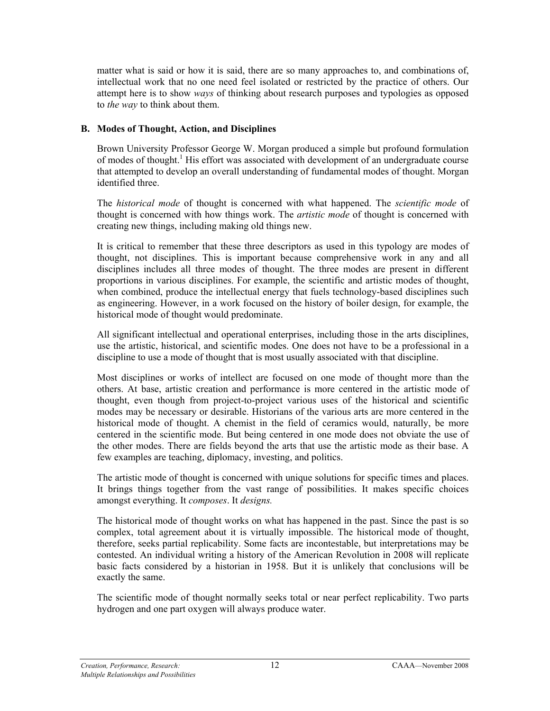matter what is said or how it is said, there are so many approaches to, and combinations of, intellectual work that no one need feel isolated or restricted by the practice of others. Our attempt here is to show *ways* of thinking about research purposes and typologies as opposed to *the way* to think about them.

#### **B. Modes of Thought, Action, and Disciplines**

Brown University Professor George W. Morgan produced a simple but profound formulation of modes of thought.<sup>1</sup> His effort was associated with development of an undergraduate course that attempted to develop an overall understanding of fundamental modes of thought. Morgan identified three.

The *historical mode* of thought is concerned with what happened. The *scientific mode* of thought is concerned with how things work. The *artistic mode* of thought is concerned with creating new things, including making old things new.

It is critical to remember that these three descriptors as used in this typology are modes of thought, not disciplines. This is important because comprehensive work in any and all disciplines includes all three modes of thought. The three modes are present in different proportions in various disciplines. For example, the scientific and artistic modes of thought, when combined, produce the intellectual energy that fuels technology-based disciplines such as engineering. However, in a work focused on the history of boiler design, for example, the historical mode of thought would predominate.

All significant intellectual and operational enterprises, including those in the arts disciplines, use the artistic, historical, and scientific modes. One does not have to be a professional in a discipline to use a mode of thought that is most usually associated with that discipline.

Most disciplines or works of intellect are focused on one mode of thought more than the others. At base, artistic creation and performance is more centered in the artistic mode of thought, even though from project-to-project various uses of the historical and scientific modes may be necessary or desirable. Historians of the various arts are more centered in the historical mode of thought. A chemist in the field of ceramics would, naturally, be more centered in the scientific mode. But being centered in one mode does not obviate the use of the other modes. There are fields beyond the arts that use the artistic mode as their base. A few examples are teaching, diplomacy, investing, and politics.

The artistic mode of thought is concerned with unique solutions for specific times and places. It brings things together from the vast range of possibilities. It makes specific choices amongst everything. It *composes*. It *designs.*

The historical mode of thought works on what has happened in the past. Since the past is so complex, total agreement about it is virtually impossible. The historical mode of thought, therefore, seeks partial replicability. Some facts are incontestable, but interpretations may be contested. An individual writing a history of the American Revolution in 2008 will replicate basic facts considered by a historian in 1958. But it is unlikely that conclusions will be exactly the same.

The scientific mode of thought normally seeks total or near perfect replicability. Two parts hydrogen and one part oxygen will always produce water.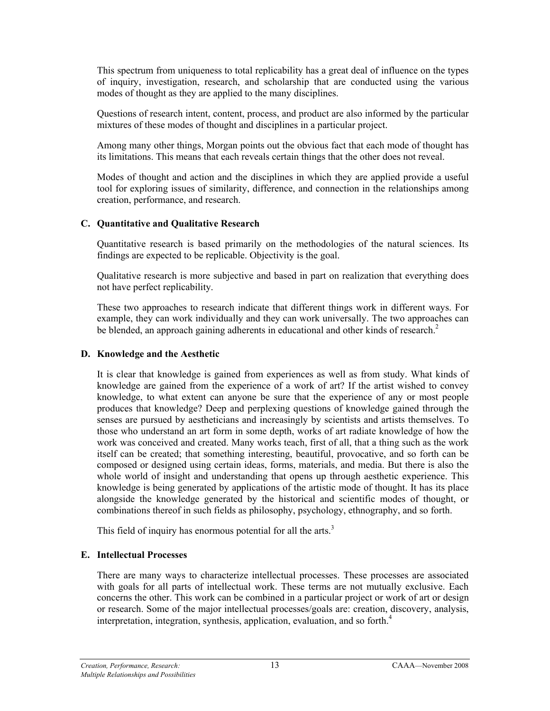This spectrum from uniqueness to total replicability has a great deal of influence on the types of inquiry, investigation, research, and scholarship that are conducted using the various modes of thought as they are applied to the many disciplines.

Questions of research intent, content, process, and product are also informed by the particular mixtures of these modes of thought and disciplines in a particular project.

Among many other things, Morgan points out the obvious fact that each mode of thought has its limitations. This means that each reveals certain things that the other does not reveal.

Modes of thought and action and the disciplines in which they are applied provide a useful tool for exploring issues of similarity, difference, and connection in the relationships among creation, performance, and research.

#### **C. Quantitative and Qualitative Research**

Quantitative research is based primarily on the methodologies of the natural sciences. Its findings are expected to be replicable. Objectivity is the goal.

Qualitative research is more subjective and based in part on realization that everything does not have perfect replicability.

These two approaches to research indicate that different things work in different ways. For example, they can work individually and they can work universally. The two approaches can be blended, an approach gaining adherents in educational and other kinds of research.<sup>2</sup>

#### **D. Knowledge and the Aesthetic**

It is clear that knowledge is gained from experiences as well as from study. What kinds of knowledge are gained from the experience of a work of art? If the artist wished to convey knowledge, to what extent can anyone be sure that the experience of any or most people produces that knowledge? Deep and perplexing questions of knowledge gained through the senses are pursued by aestheticians and increasingly by scientists and artists themselves. To those who understand an art form in some depth, works of art radiate knowledge of how the work was conceived and created. Many works teach, first of all, that a thing such as the work itself can be created; that something interesting, beautiful, provocative, and so forth can be composed or designed using certain ideas, forms, materials, and media. But there is also the whole world of insight and understanding that opens up through aesthetic experience. This knowledge is being generated by applications of the artistic mode of thought. It has its place alongside the knowledge generated by the historical and scientific modes of thought, or combinations thereof in such fields as philosophy, psychology, ethnography, and so forth.

This field of inquiry has enormous potential for all the arts. $3$ 

#### **E. Intellectual Processes**

There are many ways to characterize intellectual processes. These processes are associated with goals for all parts of intellectual work. These terms are not mutually exclusive. Each concerns the other. This work can be combined in a particular project or work of art or design or research. Some of the major intellectual processes/goals are: creation, discovery, analysis, interpretation, integration, synthesis, application, evaluation, and so forth.<sup>4</sup>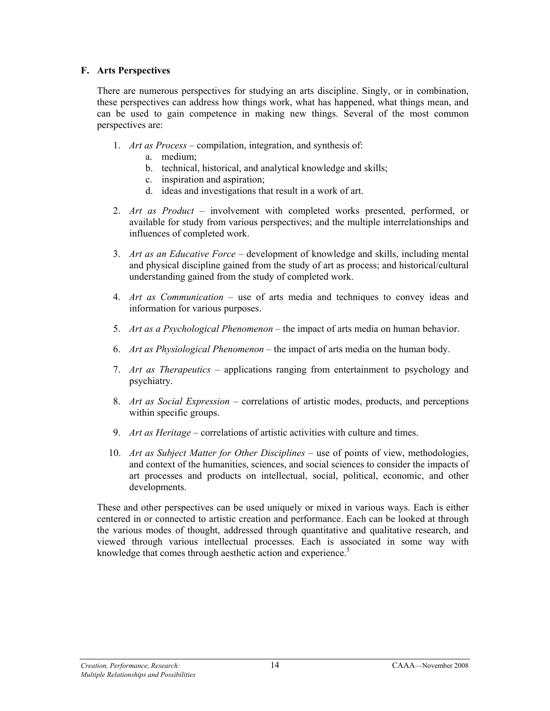#### **F. Arts Perspectives**

There are numerous perspectives for studying an arts discipline. Singly, or in combination, these perspectives can address how things work, what has happened, what things mean, and can be used to gain competence in making new things. Several of the most common perspectives are:

- 1. *Art as Process* compilation, integration, and synthesis of:
	- a. medium;
	- b. technical, historical, and analytical knowledge and skills;
	- c. inspiration and aspiration;
	- d. ideas and investigations that result in a work of art.
- 2. *Art as Product* involvement with completed works presented, performed, or available for study from various perspectives; and the multiple interrelationships and influences of completed work.
- 3. *Art as an Educative Force* development of knowledge and skills, including mental and physical discipline gained from the study of art as process; and historical/cultural understanding gained from the study of completed work.
- 4. *Art as Communication* use of arts media and techniques to convey ideas and information for various purposes.
- 5. *Art as a Psychological Phenomenon* the impact of arts media on human behavior.
- 6. *Art as Physiological Phenomenon* the impact of arts media on the human body.
- 7. *Art as Therapeutics* applications ranging from entertainment to psychology and psychiatry.
- 8. *Art as Social Expression* correlations of artistic modes, products, and perceptions within specific groups.
- 9. *Art as Heritage* correlations of artistic activities with culture and times.
- 10. *Art as Subject Matter for Other Disciplines* use of points of view, methodologies, and context of the humanities, sciences, and social sciences to consider the impacts of art processes and products on intellectual, social, political, economic, and other developments.

These and other perspectives can be used uniquely or mixed in various ways. Each is either centered in or connected to artistic creation and performance. Each can be looked at through the various modes of thought, addressed through quantitative and qualitative research, and viewed through various intellectual processes. Each is associated in some way with knowledge that comes through aesthetic action and experience.<sup>5</sup>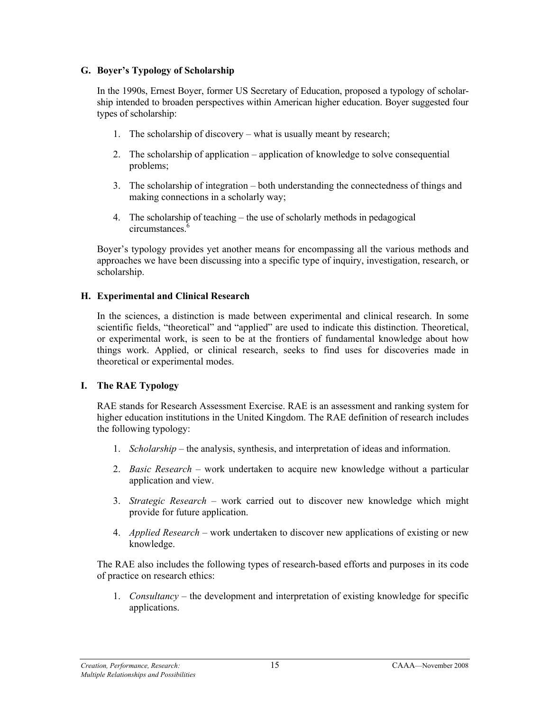#### **G. Boyer's Typology of Scholarship**

In the 1990s, Ernest Boyer, former US Secretary of Education, proposed a typology of scholarship intended to broaden perspectives within American higher education. Boyer suggested four types of scholarship:

- 1. The scholarship of discoverywhat is usually meant by research;
- 2. The scholarship of applicationapplication of knowledge to solve consequential problems;
- 3. The scholarship of integrationboth understanding the connectedness of things and making connections in a scholarly way;
- 4. The scholarship of teachingthe use of scholarly methods in pedagogical circumstances<sup>'</sup>

Boyer's typology provides yet another means for encompassing all the various methods and approaches we have been discussing into a specific type of inquiry, investigation, research, or scholarship.

#### **H. Experimental and Clinical Research**

In the sciences, a distinction is made between experimental and clinical research. In some scientific fields, "theoretical" and "applied" are used to indicate this distinction. Theoretical, or experimental work, is seen to be at the frontiers of fundamental knowledge about how things work. Applied, or clinical research, seeks to find uses for discoveries made in theoretical or experimental modes.

#### **I. The RAE Typology**

RAE stands for Research Assessment Exercise. RAE is an assessment and ranking system for higher education institutions in the United Kingdom. The RAE definition of research includes the following typology:

- 1. *Scholarship* the analysis, synthesis, and interpretation of ideas and information.
- 2. *Basic Research* work undertaken to acquire new knowledge without a particular application and view.
- 3. *Strategic Research* work carried out to discover new knowledge which might provide for future application.
- 4. *Applied Research* work undertaken to discover new applications of existing or new knowledge.

The RAE also includes the following types of research-based efforts and purposes in its code of practice on research ethics:

1. *Consultancy –* the development and interpretation of existing knowledge for specific applications.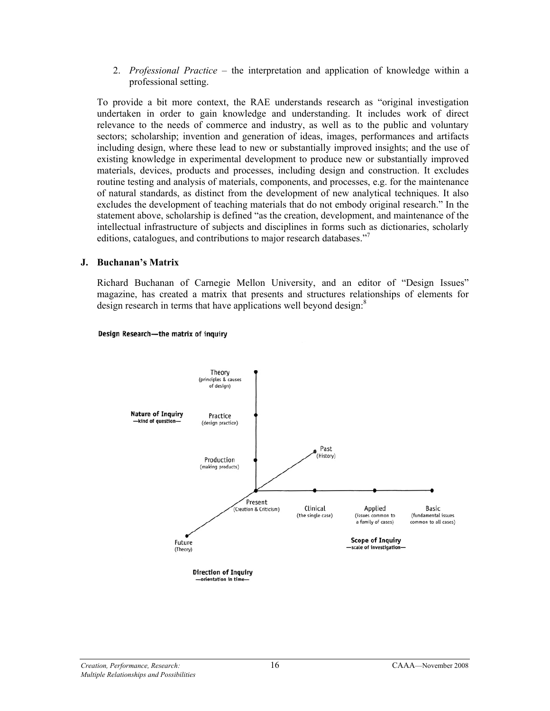2. *Professional Practice –* the interpretation and application of knowledge within a professional setting.

To provide a bit more context, the RAE understands research as "original investigation undertaken in order to gain knowledge and understanding. It includes work of direct relevance to the needs of commerce and industry, as well as to the public and voluntary sectors; scholarship; invention and generation of ideas, images, performances and artifacts including design, where these lead to new or substantially improved insights; and the use of existing knowledge in experimental development to produce new or substantially improved materials, devices, products and processes, including design and construction. It excludes routine testing and analysis of materials, components, and processes, e.g. for the maintenance of natural standards, as distinct from the development of new analytical techniques. It also excludes the development of teaching materials that do not embody original research." In the statement above, scholarship is defined "as the creation, development, and maintenance of the intellectual infrastructure of subjects and disciplines in forms such as dictionaries, scholarly editions, catalogues, and contributions to major research databases."<sup>7</sup>

#### **J. Buchanan's Matrix**

Richard Buchanan of Carnegie Mellon University, and an editor of "Design Issues" magazine, has created a matrix that presents and structures relationships of elements for design research in terms that have applications well beyond design.<sup>8</sup>



#### Design Research-the matrix of inquiry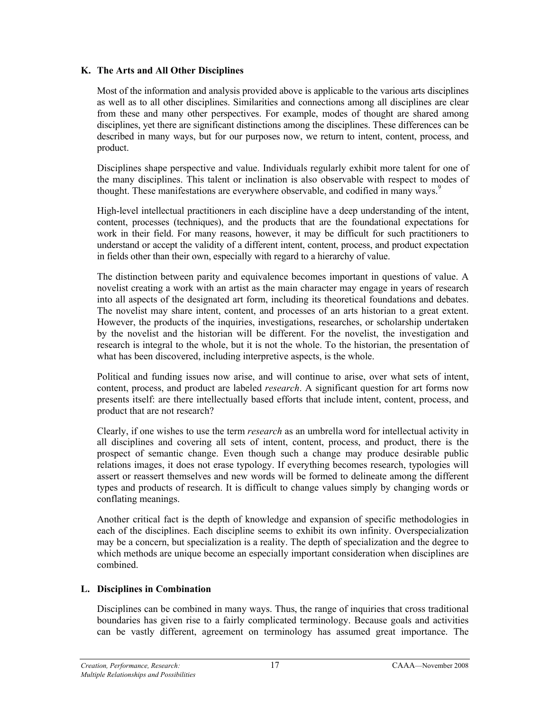#### **K. The Arts and All Other Disciplines**

Most of the information and analysis provided above is applicable to the various arts disciplines as well as to all other disciplines. Similarities and connections among all disciplines are clear from these and many other perspectives. For example, modes of thought are shared among disciplines, yet there are significant distinctions among the disciplines. These differences can be described in many ways, but for our purposes now, we return to intent, content, process, and product.

Disciplines shape perspective and value. Individuals regularly exhibit more talent for one of the many disciplines. This talent or inclination is also observable with respect to modes of thought. These manifestations are everywhere observable, and codified in many ways.<sup>9</sup>

High-level intellectual practitioners in each discipline have a deep understanding of the intent, content, processes (techniques), and the products that are the foundational expectations for work in their field. For many reasons, however, it may be difficult for such practitioners to understand or accept the validity of a different intent, content, process, and product expectation in fields other than their own, especially with regard to a hierarchy of value.

The distinction between parity and equivalence becomes important in questions of value. A novelist creating a work with an artist as the main character may engage in years of research into all aspects of the designated art form, including its theoretical foundations and debates. The novelist may share intent, content, and processes of an arts historian to a great extent. However, the products of the inquiries, investigations, researches, or scholarship undertaken by the novelist and the historian will be different. For the novelist, the investigation and research is integral to the whole, but it is not the whole. To the historian, the presentation of what has been discovered, including interpretive aspects, is the whole.

Political and funding issues now arise, and will continue to arise, over what sets of intent, content, process, and product are labeled *research*. A significant question for art forms now presents itself: are there intellectually based efforts that include intent, content, process, and product that are not research?

Clearly, if one wishes to use the term *research* as an umbrella word for intellectual activity in all disciplines and covering all sets of intent, content, process, and product, there is the prospect of semantic change. Even though such a change may produce desirable public relations images, it does not erase typology. If everything becomes research, typologies will assert or reassert themselves and new words will be formed to delineate among the different types and products of research. It is difficult to change values simply by changing words or conflating meanings.

Another critical fact is the depth of knowledge and expansion of specific methodologies in each of the disciplines. Each discipline seems to exhibit its own infinity. Overspecialization may be a concern, but specialization is a reality. The depth of specialization and the degree to which methods are unique become an especially important consideration when disciplines are combined.

#### **L. Disciplines in Combination**

Disciplines can be combined in many ways. Thus, the range of inquiries that cross traditional boundaries has given rise to a fairly complicated terminology. Because goals and activities can be vastly different, agreement on terminology has assumed great importance. The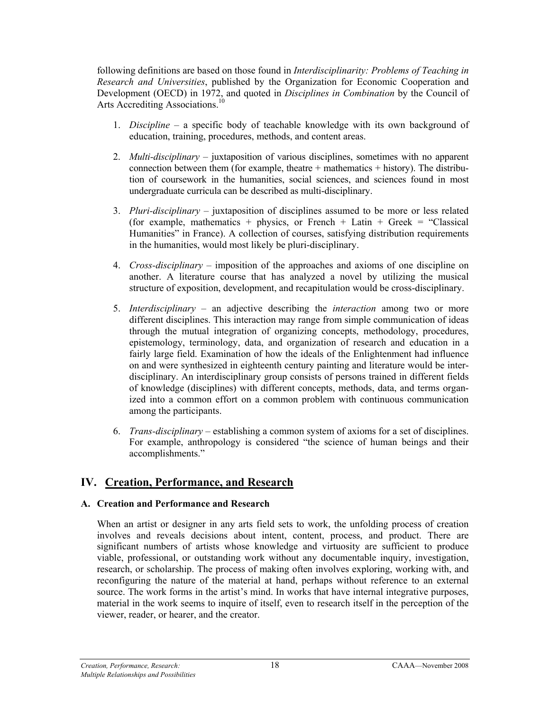following definitions are based on those found in *Interdisciplinarity: Problems of Teaching in Research and Universities*, published by the Organization for Economic Cooperation and Development (OECD) in 1972, and quoted in *Disciplines in Combination* by the Council of Arts Accrediting Associations.<sup>10</sup>

- 1. *Discipline* a specific body of teachable knowledge with its own background of education, training, procedures, methods, and content areas.
- 2. *Multi-disciplinary* juxtaposition of various disciplines, sometimes with no apparent connection between them (for example, theatre  $+$  mathematics  $+$  history). The distribution of coursework in the humanities, social sciences, and sciences found in most undergraduate curricula can be described as multi-disciplinary.
- 3. *Pluri-disciplinary* juxtaposition of disciplines assumed to be more or less related (for example, mathematics + physics, or French + Latin + Greek = "Classical") Humanities" in France). A collection of courses, satisfying distribution requirements in the humanities, would most likely be pluri-disciplinary.
- 4. *Cross-disciplinary* imposition of the approaches and axioms of one discipline on another. A literature course that has analyzed a novel by utilizing the musical structure of exposition, development, and recapitulation would be cross-disciplinary.
- 5. *Interdisciplinary* an adjective describing the *interaction* among two or more different disciplines. This interaction may range from simple communication of ideas through the mutual integration of organizing concepts, methodology, procedures, epistemology, terminology, data, and organization of research and education in a fairly large field. Examination of how the ideals of the Enlightenment had influence on and were synthesized in eighteenth century painting and literature would be interdisciplinary. An interdisciplinary group consists of persons trained in different fields of knowledge (disciplines) with different concepts, methods, data, and terms organized into a common effort on a common problem with continuous communication among the participants.
- 6. *Trans-disciplinary* establishing a common system of axioms for a set of disciplines. For example, anthropology is considered "the science of human beings and their accomplishments."

#### **IV. Creation, Performance, and Research**

#### **A. Creation and Performance and Research**

When an artist or designer in any arts field sets to work, the unfolding process of creation involves and reveals decisions about intent, content, process, and product. There are significant numbers of artists whose knowledge and virtuosity are sufficient to produce viable, professional, or outstanding work without any documentable inquiry, investigation, research, or scholarship. The process of making often involves exploring, working with, and reconfiguring the nature of the material at hand, perhaps without reference to an external source. The work forms in the artist's mind. In works that have internal integrative purposes, material in the work seems to inquire of itself, even to research itself in the perception of the viewer, reader, or hearer, and the creator.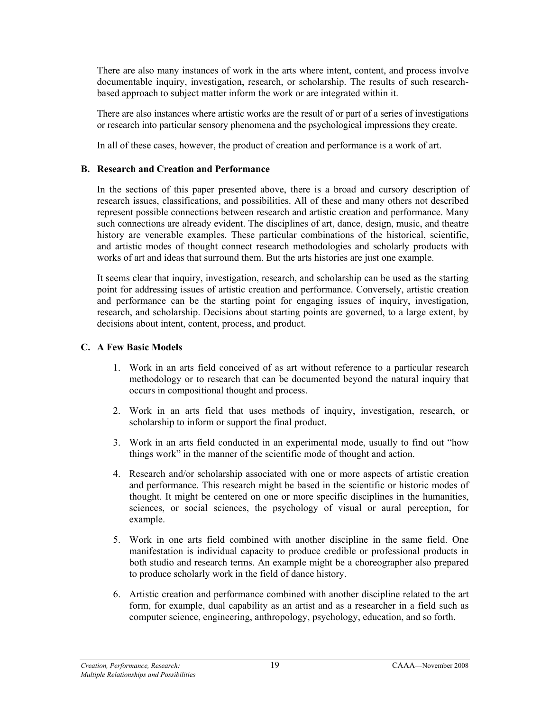There are also many instances of work in the arts where intent, content, and process involve documentable inquiry, investigation, research, or scholarship. The results of such researchbased approach to subject matter inform the work or are integrated within it.

There are also instances where artistic works are the result of or part of a series of investigations or research into particular sensory phenomena and the psychological impressions they create.

In all of these cases, however, the product of creation and performance is a work of art.

#### **B. Research and Creation and Performance**

In the sections of this paper presented above, there is a broad and cursory description of research issues, classifications, and possibilities. All of these and many others not described represent possible connections between research and artistic creation and performance. Many such connections are already evident. The disciplines of art, dance, design, music, and theatre history are venerable examples. These particular combinations of the historical, scientific, and artistic modes of thought connect research methodologies and scholarly products with works of art and ideas that surround them. But the arts histories are just one example.

It seems clear that inquiry, investigation, research, and scholarship can be used as the starting point for addressing issues of artistic creation and performance. Conversely, artistic creation and performance can be the starting point for engaging issues of inquiry, investigation, research, and scholarship. Decisions about starting points are governed, to a large extent, by decisions about intent, content, process, and product.

#### **C. A Few Basic Models**

- 1. Work in an arts field conceived of as art without reference to a particular research methodology or to research that can be documented beyond the natural inquiry that occurs in compositional thought and process.
- 2. Work in an arts field that uses methods of inquiry, investigation, research, or scholarship to inform or support the final product.
- 3. Work in an arts field conducted in an experimental mode, usually to find out "how things work" in the manner of the scientific mode of thought and action.
- 4. Research and/or scholarship associated with one or more aspects of artistic creation and performance. This research might be based in the scientific or historic modes of thought. It might be centered on one or more specific disciplines in the humanities, sciences, or social sciences, the psychology of visual or aural perception, for example.
- 5. Work in one arts field combined with another discipline in the same field. One manifestation is individual capacity to produce credible or professional products in both studio and research terms. An example might be a choreographer also prepared to produce scholarly work in the field of dance history.
- 6. Artistic creation and performance combined with another discipline related to the art form, for example, dual capability as an artist and as a researcher in a field such as computer science, engineering, anthropology, psychology, education, and so forth.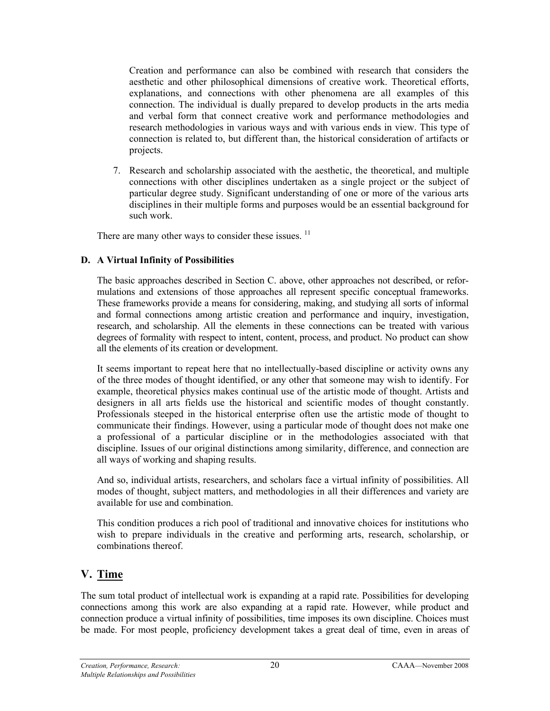Creation and performance can also be combined with research that considers the aesthetic and other philosophical dimensions of creative work. Theoretical efforts, explanations, and connections with other phenomena are all examples of this connection. The individual is dually prepared to develop products in the arts media and verbal form that connect creative work and performance methodologies and research methodologies in various ways and with various ends in view. This type of connection is related to, but different than, the historical consideration of artifacts or projects.

7. Research and scholarship associated with the aesthetic, the theoretical, and multiple connections with other disciplines undertaken as a single project or the subject of particular degree study. Significant understanding of one or more of the various arts disciplines in their multiple forms and purposes would be an essential background for such work.

There are many other ways to consider these issues.  $<sup>11</sup>$ </sup>

#### **D. A Virtual Infinity of Possibilities**

The basic approaches described in Section C. above, other approaches not described, or reformulations and extensions of those approaches all represent specific conceptual frameworks. These frameworks provide a means for considering, making, and studying all sorts of informal and formal connections among artistic creation and performance and inquiry, investigation, research, and scholarship. All the elements in these connections can be treated with various degrees of formality with respect to intent, content, process, and product. No product can show all the elements of its creation or development.

It seems important to repeat here that no intellectually-based discipline or activity owns any of the three modes of thought identified, or any other that someone may wish to identify. For example, theoretical physics makes continual use of the artistic mode of thought. Artists and designers in all arts fields use the historical and scientific modes of thought constantly. Professionals steeped in the historical enterprise often use the artistic mode of thought to communicate their findings. However, using a particular mode of thought does not make one a professional of a particular discipline or in the methodologies associated with that discipline. Issues of our original distinctions among similarity, difference, and connection are all ways of working and shaping results.

And so, individual artists, researchers, and scholars face a virtual infinity of possibilities. All modes of thought, subject matters, and methodologies in all their differences and variety are available for use and combination.

This condition produces a rich pool of traditional and innovative choices for institutions who wish to prepare individuals in the creative and performing arts, research, scholarship, or combinations thereof.

## **V. Time**

The sum total product of intellectual work is expanding at a rapid rate. Possibilities for developing connections among this work are also expanding at a rapid rate. However, while product and connection produce a virtual infinity of possibilities, time imposes its own discipline. Choices must be made. For most people, proficiency development takes a great deal of time, even in areas of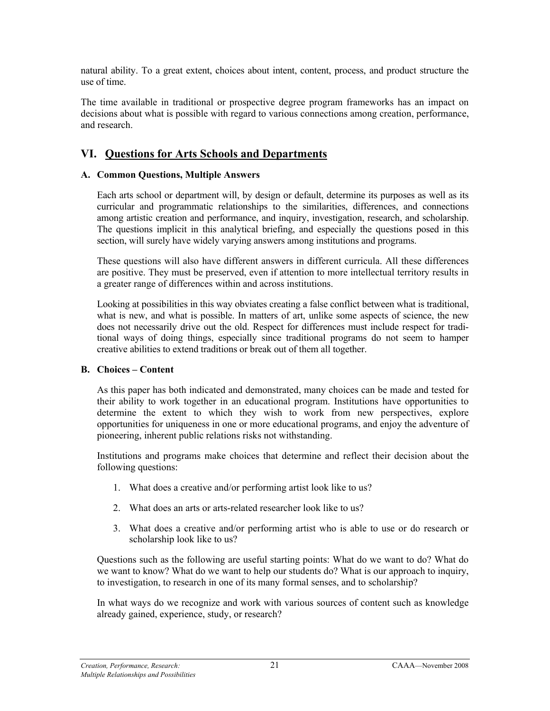natural ability. To a great extent, choices about intent, content, process, and product structure the use of time.

The time available in traditional or prospective degree program frameworks has an impact on decisions about what is possible with regard to various connections among creation, performance, and research.

#### **VI. Questions for Arts Schools and Departments**

#### **A. Common Questions, Multiple Answers**

Each arts school or department will, by design or default, determine its purposes as well as its curricular and programmatic relationships to the similarities, differences, and connections among artistic creation and performance, and inquiry, investigation, research, and scholarship. The questions implicit in this analytical briefing, and especially the questions posed in this section, will surely have widely varying answers among institutions and programs.

These questions will also have different answers in different curricula. All these differences are positive. They must be preserved, even if attention to more intellectual territory results in a greater range of differences within and across institutions.

Looking at possibilities in this way obviates creating a false conflict between what is traditional, what is new, and what is possible. In matters of art, unlike some aspects of science, the new does not necessarily drive out the old. Respect for differences must include respect for traditional ways of doing things, especially since traditional programs do not seem to hamper creative abilities to extend traditions or break out of them all together.

#### **B. Choices** *–* **Content**

As this paper has both indicated and demonstrated, many choices can be made and tested for their ability to work together in an educational program. Institutions have opportunities to determine the extent to which they wish to work from new perspectives, explore opportunities for uniqueness in one or more educational programs, and enjoy the adventure of pioneering, inherent public relations risks not withstanding.

Institutions and programs make choices that determine and reflect their decision about the following questions:

- 1. What does a creative and/or performing artist look like to us?
- 2. What does an arts or arts-related researcher look like to us?
- 3. What does a creative and/or performing artist who is able to use or do research or scholarship look like to us?

Questions such as the following are useful starting points: What do we want to do? What do we want to know? What do we want to help our students do? What is our approach to inquiry, to investigation, to research in one of its many formal senses, and to scholarship?

In what ways do we recognize and work with various sources of content such as knowledge already gained, experience, study, or research?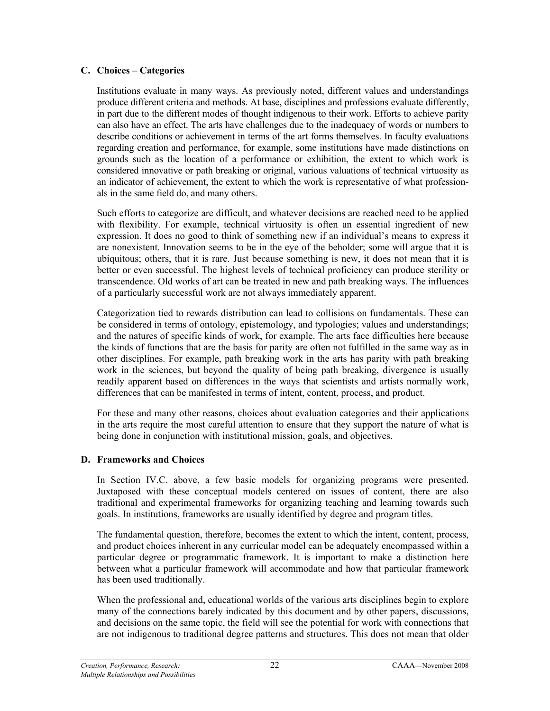#### **C. Choices** *–* **Categories**

Institutions evaluate in many ways. As previously noted, different values and understandings produce different criteria and methods. At base, disciplines and professions evaluate differently, in part due to the different modes of thought indigenous to their work. Efforts to achieve parity can also have an effect. The arts have challenges due to the inadequacy of words or numbers to describe conditions or achievement in terms of the art forms themselves. In faculty evaluations regarding creation and performance, for example, some institutions have made distinctions on grounds such as the location of a performance or exhibition, the extent to which work is considered innovative or path breaking or original, various valuations of technical virtuosity as an indicator of achievement, the extent to which the work is representative of what professionals in the same field do, and many others.

Such efforts to categorize are difficult, and whatever decisions are reached need to be applied with flexibility. For example, technical virtuosity is often an essential ingredient of new expression. It does no good to think of something new if an individual's means to express it are nonexistent. Innovation seems to be in the eye of the beholder; some will argue that it is ubiquitous; others, that it is rare. Just because something is new, it does not mean that it is better or even successful. The highest levels of technical proficiency can produce sterility or transcendence. Old works of art can be treated in new and path breaking ways. The influences of a particularly successful work are not always immediately apparent.

Categorization tied to rewards distribution can lead to collisions on fundamentals. These can be considered in terms of ontology, epistemology, and typologies; values and understandings; and the natures of specific kinds of work, for example. The arts face difficulties here because the kinds of functions that are the basis for parity are often not fulfilled in the same way as in other disciplines. For example, path breaking work in the arts has parity with path breaking work in the sciences, but beyond the quality of being path breaking, divergence is usually readily apparent based on differences in the ways that scientists and artists normally work, differences that can be manifested in terms of intent, content, process, and product.

For these and many other reasons, choices about evaluation categories and their applications in the arts require the most careful attention to ensure that they support the nature of what is being done in conjunction with institutional mission, goals, and objectives.

#### **D. Frameworks and Choices**

In Section IV.C. above, a few basic models for organizing programs were presented. Juxtaposed with these conceptual models centered on issues of content, there are also traditional and experimental frameworks for organizing teaching and learning towards such goals. In institutions, frameworks are usually identified by degree and program titles.

The fundamental question, therefore, becomes the extent to which the intent, content, process, and product choices inherent in any curricular model can be adequately encompassed within a particular degree or programmatic framework. It is important to make a distinction here between what a particular framework will accommodate and how that particular framework has been used traditionally.

When the professional and, educational worlds of the various arts disciplines begin to explore many of the connections barely indicated by this document and by other papers, discussions, and decisions on the same topic, the field will see the potential for work with connections that are not indigenous to traditional degree patterns and structures. This does not mean that older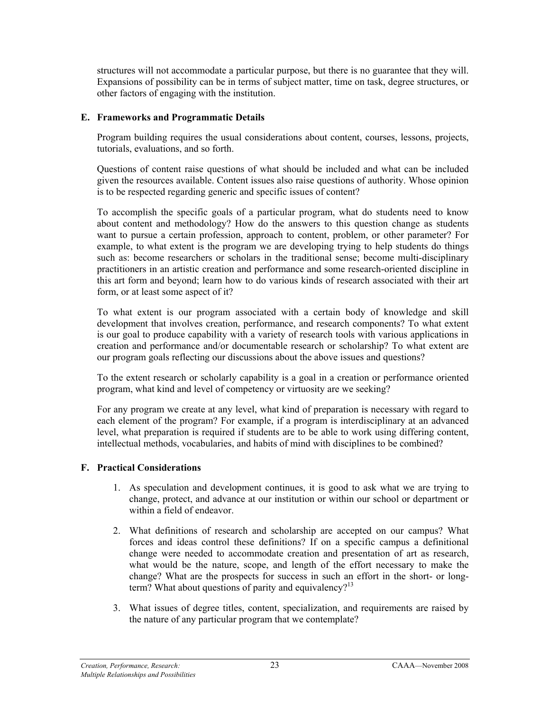structures will not accommodate a particular purpose, but there is no guarantee that they will. Expansions of possibility can be in terms of subject matter, time on task, degree structures, or other factors of engaging with the institution.

#### **E. Frameworks and Programmatic Details**

Program building requires the usual considerations about content, courses, lessons, projects, tutorials, evaluations, and so forth.

Questions of content raise questions of what should be included and what can be included given the resources available. Content issues also raise questions of authority. Whose opinion is to be respected regarding generic and specific issues of content?

To accomplish the specific goals of a particular program, what do students need to know about content and methodology? How do the answers to this question change as students want to pursue a certain profession, approach to content, problem, or other parameter? For example, to what extent is the program we are developing trying to help students do things such as: become researchers or scholars in the traditional sense; become multi-disciplinary practitioners in an artistic creation and performance and some research-oriented discipline in this art form and beyond; learn how to do various kinds of research associated with their art form, or at least some aspect of it?

To what extent is our program associated with a certain body of knowledge and skill development that involves creation, performance, and research components? To what extent is our goal to produce capability with a variety of research tools with various applications in creation and performance and/or documentable research or scholarship? To what extent are our program goals reflecting our discussions about the above issues and questions?

To the extent research or scholarly capability is a goal in a creation or performance oriented program, what kind and level of competency or virtuosity are we seeking?

For any program we create at any level, what kind of preparation is necessary with regard to each element of the program? For example, if a program is interdisciplinary at an advanced level, what preparation is required if students are to be able to work using differing content, intellectual methods, vocabularies, and habits of mind with disciplines to be combined?

#### **F. Practical Considerations**

- 1. As speculation and development continues, it is good to ask what we are trying to change, protect, and advance at our institution or within our school or department or within a field of endeavor.
- 2. What definitions of research and scholarship are accepted on our campus? What forces and ideas control these definitions? If on a specific campus a definitional change were needed to accommodate creation and presentation of art as research, what would be the nature, scope, and length of the effort necessary to make the change? What are the prospects for success in such an effort in the short- or longterm? What about questions of parity and equivalency? $13$
- 3. What issues of degree titles, content, specialization, and requirements are raised by the nature of any particular program that we contemplate?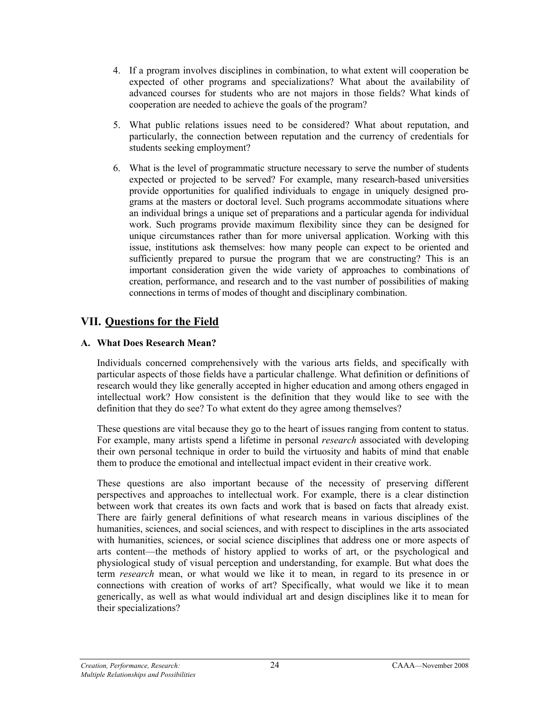- 4. If a program involves disciplines in combination, to what extent will cooperation be expected of other programs and specializations? What about the availability of advanced courses for students who are not majors in those fields? What kinds of cooperation are needed to achieve the goals of the program?
- 5. What public relations issues need to be considered? What about reputation, and particularly, the connection between reputation and the currency of credentials for students seeking employment?
- 6. What is the level of programmatic structure necessary to serve the number of students expected or projected to be served? For example, many research-based universities provide opportunities for qualified individuals to engage in uniquely designed programs at the masters or doctoral level. Such programs accommodate situations where an individual brings a unique set of preparations and a particular agenda for individual work. Such programs provide maximum flexibility since they can be designed for unique circumstances rather than for more universal application. Working with this issue, institutions ask themselves: how many people can expect to be oriented and sufficiently prepared to pursue the program that we are constructing? This is an important consideration given the wide variety of approaches to combinations of creation, performance, and research and to the vast number of possibilities of making connections in terms of modes of thought and disciplinary combination.

## **VII. Questions for the Field**

#### **A. What Does Research Mean?**

Individuals concerned comprehensively with the various arts fields, and specifically with particular aspects of those fields have a particular challenge. What definition or definitions of research would they like generally accepted in higher education and among others engaged in intellectual work? How consistent is the definition that they would like to see with the definition that they do see? To what extent do they agree among themselves?

These questions are vital because they go to the heart of issues ranging from content to status. For example, many artists spend a lifetime in personal *research* associated with developing their own personal technique in order to build the virtuosity and habits of mind that enable them to produce the emotional and intellectual impact evident in their creative work.

These questions are also important because of the necessity of preserving different perspectives and approaches to intellectual work. For example, there is a clear distinction between work that creates its own facts and work that is based on facts that already exist. There are fairly general definitions of what research means in various disciplines of the humanities, sciences, and social sciences, and with respect to disciplines in the arts associated with humanities, sciences, or social science disciplines that address one or more aspects of arts content—the methods of history applied to works of art, or the psychological and physiological study of visual perception and understanding, for example. But what does the term *research* mean, or what would we like it to mean, in regard to its presence in or connections with creation of works of art? Specifically, what would we like it to mean generically, as well as what would individual art and design disciplines like it to mean for their specializations?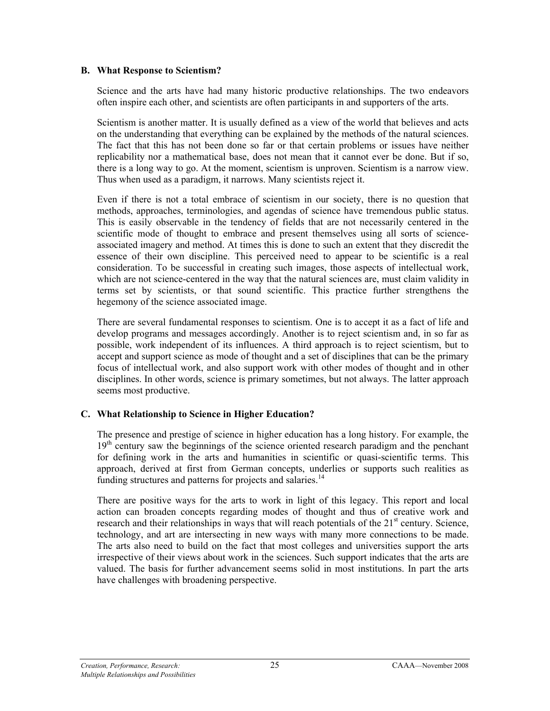#### **B. What Response to Scientism?**

Science and the arts have had many historic productive relationships. The two endeavors often inspire each other, and scientists are often participants in and supporters of the arts.

Scientism is another matter. It is usually defined as a view of the world that believes and acts on the understanding that everything can be explained by the methods of the natural sciences. The fact that this has not been done so far or that certain problems or issues have neither replicability nor a mathematical base, does not mean that it cannot ever be done. But if so, there is a long way to go. At the moment, scientism is unproven. Scientism is a narrow view. Thus when used as a paradigm, it narrows. Many scientists reject it.

Even if there is not a total embrace of scientism in our society, there is no question that methods, approaches, terminologies, and agendas of science have tremendous public status. This is easily observable in the tendency of fields that are not necessarily centered in the scientific mode of thought to embrace and present themselves using all sorts of scienceassociated imagery and method. At times this is done to such an extent that they discredit the essence of their own discipline. This perceived need to appear to be scientific is a real consideration. To be successful in creating such images, those aspects of intellectual work, which are not science-centered in the way that the natural sciences are, must claim validity in terms set by scientists, or that sound scientific. This practice further strengthens the hegemony of the science associated image.

There are several fundamental responses to scientism. One is to accept it as a fact of life and develop programs and messages accordingly. Another is to reject scientism and, in so far as possible, work independent of its influences. A third approach is to reject scientism, but to accept and support science as mode of thought and a set of disciplines that can be the primary focus of intellectual work, and also support work with other modes of thought and in other disciplines. In other words, science is primary sometimes, but not always. The latter approach seems most productive.

#### **C. What Relationship to Science in Higher Education?**

The presence and prestige of science in higher education has a long history. For example, the 19<sup>th</sup> century saw the beginnings of the science oriented research paradigm and the penchant for defining work in the arts and humanities in scientific or quasi-scientific terms. This approach, derived at first from German concepts, underlies or supports such realities as funding structures and patterns for projects and salaries.<sup>14</sup>

There are positive ways for the arts to work in light of this legacy. This report and local action can broaden concepts regarding modes of thought and thus of creative work and research and their relationships in ways that will reach potentials of the  $21<sup>st</sup>$  century. Science, technology, and art are intersecting in new ways with many more connections to be made. The arts also need to build on the fact that most colleges and universities support the arts irrespective of their views about work in the sciences. Such support indicates that the arts are valued. The basis for further advancement seems solid in most institutions. In part the arts have challenges with broadening perspective.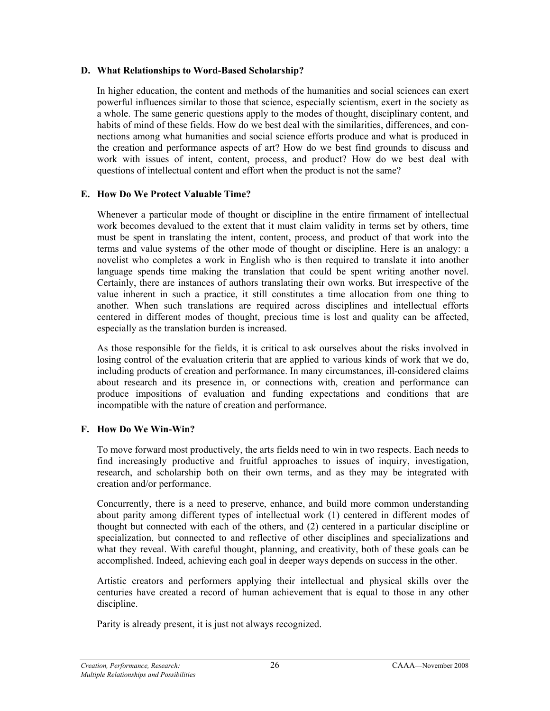#### **D. What Relationships to Word-Based Scholarship?**

In higher education, the content and methods of the humanities and social sciences can exert powerful influences similar to those that science, especially scientism, exert in the society as a whole. The same generic questions apply to the modes of thought, disciplinary content, and habits of mind of these fields. How do we best deal with the similarities, differences, and connections among what humanities and social science efforts produce and what is produced in the creation and performance aspects of art? How do we best find grounds to discuss and work with issues of intent, content, process, and product? How do we best deal with questions of intellectual content and effort when the product is not the same?

#### **E. How Do We Protect Valuable Time?**

Whenever a particular mode of thought or discipline in the entire firmament of intellectual work becomes devalued to the extent that it must claim validity in terms set by others, time must be spent in translating the intent, content, process, and product of that work into the terms and value systems of the other mode of thought or discipline. Here is an analogy: a novelist who completes a work in English who is then required to translate it into another language spends time making the translation that could be spent writing another novel. Certainly, there are instances of authors translating their own works. But irrespective of the value inherent in such a practice, it still constitutes a time allocation from one thing to another. When such translations are required across disciplines and intellectual efforts centered in different modes of thought, precious time is lost and quality can be affected, especially as the translation burden is increased.

As those responsible for the fields, it is critical to ask ourselves about the risks involved in losing control of the evaluation criteria that are applied to various kinds of work that we do, including products of creation and performance. In many circumstances, ill-considered claims about research and its presence in, or connections with, creation and performance can produce impositions of evaluation and funding expectations and conditions that are incompatible with the nature of creation and performance.

#### **F. How Do We Win-Win?**

To move forward most productively, the arts fields need to win in two respects. Each needs to find increasingly productive and fruitful approaches to issues of inquiry, investigation, research, and scholarship both on their own terms, and as they may be integrated with creation and/or performance.

Concurrently, there is a need to preserve, enhance, and build more common understanding about parity among different types of intellectual work (1) centered in different modes of thought but connected with each of the others, and (2) centered in a particular discipline or specialization, but connected to and reflective of other disciplines and specializations and what they reveal. With careful thought, planning, and creativity, both of these goals can be accomplished. Indeed, achieving each goal in deeper ways depends on success in the other.

Artistic creators and performers applying their intellectual and physical skills over the centuries have created a record of human achievement that is equal to those in any other discipline.

Parity is already present, it is just not always recognized.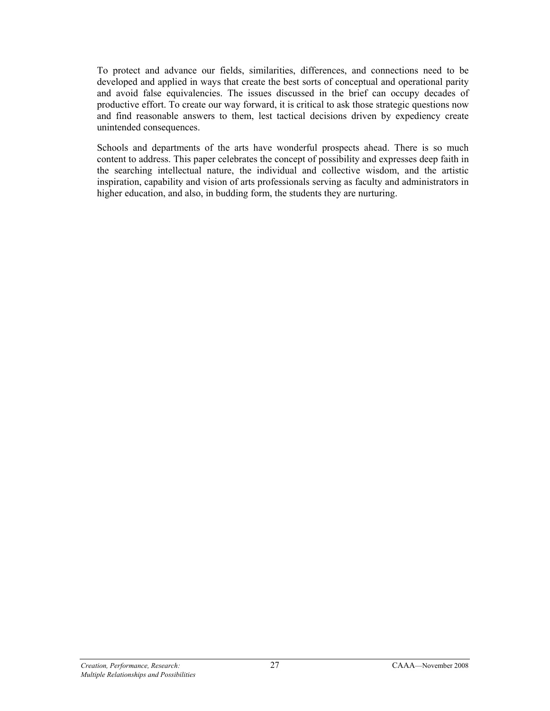To protect and advance our fields, similarities, differences, and connections need to be developed and applied in ways that create the best sorts of conceptual and operational parity and avoid false equivalencies. The issues discussed in the brief can occupy decades of productive effort. To create our way forward, it is critical to ask those strategic questions now and find reasonable answers to them, lest tactical decisions driven by expediency create unintended consequences.

Schools and departments of the arts have wonderful prospects ahead. There is so much content to address. This paper celebrates the concept of possibility and expresses deep faith in the searching intellectual nature, the individual and collective wisdom, and the artistic inspiration, capability and vision of arts professionals serving as faculty and administrators in higher education, and also, in budding form, the students they are nurturing.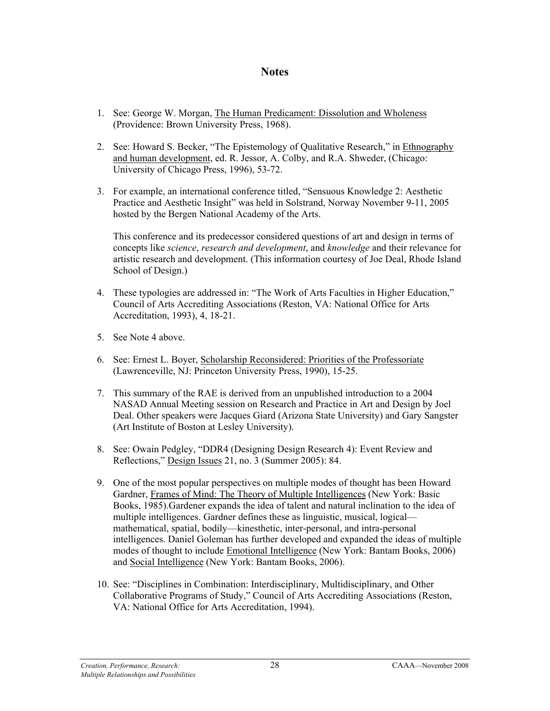#### **Notes**

- 1. See: George W. Morgan, The Human Predicament: Dissolution and Wholeness (Providence: Brown University Press, 1968).
- 2. See: Howard S. Becker, "The Epistemology of Qualitative Research," in Ethnography and human development, ed. R. Jessor, A. Colby, and R.A. Shweder, (Chicago: University of Chicago Press, 1996), 53-72.
- 3. For example, an international conference titled, "Sensuous Knowledge 2: Aesthetic Practice and Aesthetic Insight" was held in Solstrand, Norway November 9-11, 2005 hosted by the Bergen National Academy of the Arts.

This conference and its predecessor considered questions of art and design in terms of concepts like *science*, *research and development*, and *knowledge* and their relevance for artistic research and development. (This information courtesy of Joe Deal, Rhode Island School of Design.)

- 4. These typologies are addressed in: "The Work of Arts Faculties in Higher Education," Council of Arts Accrediting Associations (Reston, VA: National Office for Arts Accreditation, 1993), 4, 18-21.
- 5. See Note 4 above.
- 6. See: Ernest L. Boyer, Scholarship Reconsidered: Priorities of the Professoriate (Lawrenceville, NJ: Princeton University Press, 1990), 15-25.
- 7. This summary of the RAE is derived from an unpublished introduction to a 2004 NASAD Annual Meeting session on Research and Practice in Art and Design by Joel Deal. Other speakers were Jacques Giard (Arizona State University) and Gary Sangster (Art Institute of Boston at Lesley University).
- 8. See: Owain Pedgley, "DDR4 (Designing Design Research 4): Event Review and Reflections," Design Issues 21, no. 3 (Summer 2005): 84.
- 9. One of the most popular perspectives on multiple modes of thought has been Howard Gardner, Frames of Mind: The Theory of Multiple Intelligences (New York: Basic Books, 1985).Gardener expands the idea of talent and natural inclination to the idea of multiple intelligences. Gardner defines these as linguistic, musical, logical mathematical, spatial, bodily—kinesthetic, inter-personal, and intra-personal intelligences. Daniel Goleman has further developed and expanded the ideas of multiple modes of thought to include Emotional Intelligence (New York: Bantam Books, 2006) and Social Intelligence (New York: Bantam Books, 2006).
- 10. See: "Disciplines in Combination: Interdisciplinary, Multidisciplinary, and Other Collaborative Programs of Study," Council of Arts Accrediting Associations (Reston, VA: National Office for Arts Accreditation, 1994).